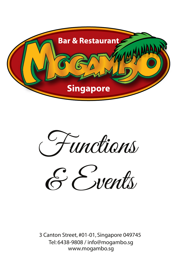

Functions

& Events

3 Canton Street, #01-01, Singapore 049745 Tel: 6438-9808 / info@mogambo.sg www.mogambo.sg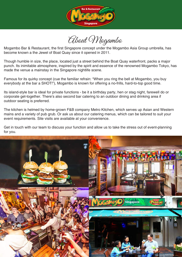

About Mogambo

Mogambo Bar & Restaurant, the first Singapore concept under the Mogambo Asia Group umbrella, has become known a the Jewel of Boat Quay since it opened in 2011.

Though humble in size, the place, located just a street behind the Boat Quay waterfront, packs a major punch. Its inimitable atmosphere, inspired by the spirit and essence of the renowned Mogambo Tokyo, has made the venue a mainstay in the Singapore nightlife scene.

Famous for its quirky concept (cue the familiar refrain: "When you ring the bell at Mogambo, you buy everybody at the bar a SHOT!"), Mogambo is known for offering a no-frills, hard-to-top good time.

Its island-style bar is ideal for private functions - be it a birthday party, hen or stag night, farewell do or corporate get-together. There's also second bar catering to an outdoor dining and drinking area if outdoor seating is preferred.

The kitchen is helmed by home-grown F&B company Metro Kitchen, which serves up Asian and Western mains and a variety of pub grub. Or ask us about our catering menus, which can be tailored to suit your event requirements. Site visits are available at your convenience.

Get in touch with our team to discuss your function and allow us to take the stress out of event-planning for you.

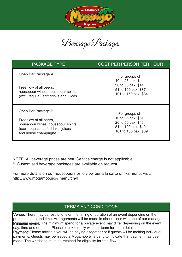

Beverage Packages

| <b>PACKAGE TYPE</b>                                                                                                          | <b>COST PER PERSON PER HOUR</b>                                                                          |
|------------------------------------------------------------------------------------------------------------------------------|----------------------------------------------------------------------------------------------------------|
| Open Bar Package A<br>Free flow of all beers,<br>housepour wines, housepour spirits                                          | For groups of<br>10 to 25 pax: \$44<br>26 to 50 pax: \$41<br>51 to 100 pax: \$37<br>101 to 150 pax: \$34 |
| (excl. tequila), soft drinks and juices                                                                                      |                                                                                                          |
| Open Bar Package B                                                                                                           | For groups of                                                                                            |
| Free flow of all beers,<br>housepour wines, housepour spirits<br>(excl. tequila), soft drinks, juices<br>and house champagne | 10 to 25 pax: \$51<br>26 to 50 pax: \$46<br>51 to 100 pax: \$42<br>101 to 150 pax: \$39                  |

NOTE: All beverage prices are nett. Service charge is not applicable.

\*\* Customised beverage packages are available on request.

For more details on our housepours or to view our a la carte drinks menu, visit: http://www.mogambo.sg/#!menu/cnyl

## TERMS AND CONDITIONS

Venue: There may be restrictions on the timing or duration of an event depending on the proposed date and time. Arrangements will be made in discussions with one of our managers. **Minimum spend:** The minimum spend for a private event may differ depending on the event day, time and duration. Please check directly with our team for more details.

Payment: Please advise if you will be paying altogether or if guests wil be making individual payments. Guests may be issued a Mogambo wristband to indicate that payment has been made. The wristband must be retained for eligibility for free-flow.